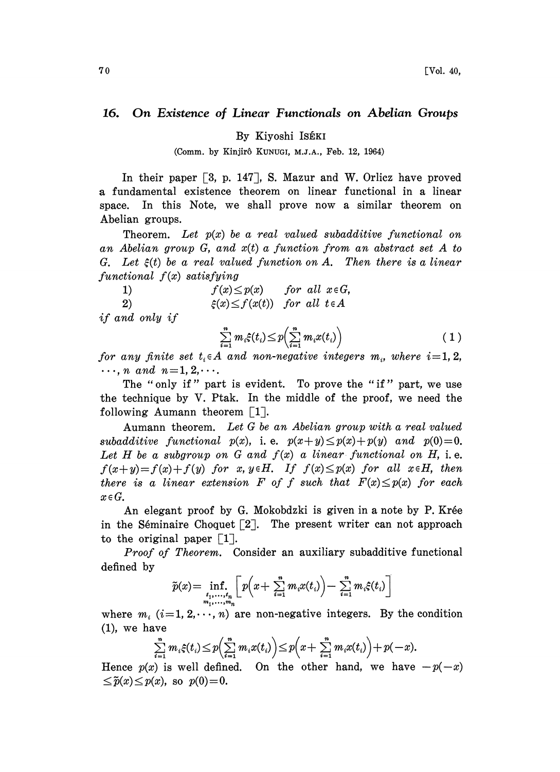## 16. On Existence of Linear Functionals on Abelian Groups

By Kiyoshi ISÉKI

(Comm. by Kinjirô KUNUGI, M.J.A., Feb. 12, 1964)

In their paper  $\lceil 3, p. 147 \rceil$ , S. Mazur and W. Orlicz have proved a fundamental existence theorem on linear functional in a linear space. In this Note, we shall prove now a similar theorem on Abelian groups.

Theorem. Let  $p(x)$  be a real valued subadditive functional on an Abelian group  $G$ , and  $x(t)$  a function from an abstract set A to G. Let  $\xi(t)$  be a real valued function on A. Then there is a linear functional  $f(x)$  satisfying<br>1)  $f(x) \le p(x)$ 

1) 2) for all  $x \in G$ ,  $\xi(x) \leq f(x(t))$  for all  $t \in A$ 

if and only if

$$
\sum_{i=1}^{n} m_i \xi(t_i) \le p \Big( \sum_{i=1}^{n} m_i x(t_i) \Big) \qquad (1)
$$
  
for any finite set  $t_i \in A$  and non-negative integers  $m_i$ , where  $i=1, 2$ ,

 $\ldots$ , n and  $n=1, 2, \ldots$ .

The "only if" part is evident. To prove the "if" part, we use the technique by V. Ptak. In the middle of the proof, we need the following Aumann theorem  $\lceil 1 \rceil$ .

Aumann theorem. Let G be an Abelian group with a real valued subadditive functional  $p(x)$ , i.e.  $p(x+y) \leq p(x)+p(y)$  and  $p(0)=0$ . Let H be a subgroup on G and  $f(x)$  a linear functional on H, i.e.  $f(x+y)=f(x)+f(y)$  for x,  $y \in H$ . If  $f(x) \leq p(x)$  for all  $x \in H$ , then there is a linear extension F of f such that  $F(x) \leq p(x)$  for each  $x \in G$ .

An elegant proof by G. Mokobdzki is given in a note by P. Krée in the Séminaire Choquet  $\lceil 2 \rceil$ . The present writer can not approach to the original paper  $\lceil 1 \rceil$ .

Proof of Theorem. Consider an auxiliary subadditive functional defined by

$$
\widetilde{p}(x) = \inf_{\substack{t_1, \ldots, t_n \\ m_1, \ldots, m_n}} \left[ p\left(x + \sum_{i=1}^n m_i x(t_i)\right) - \sum_{i=1}^n m_i \xi(t_i) \right]
$$

where  $m_i$  (i=1, 2, $\cdots$ , n) are non-negative integers. By the condition (1), we have

$$
\sum_{i=1}^n m_i \xi(t_i) \leq p\left(\sum_{i=1}^n m_i x(t_i)\right) \leq p\left(x + \sum_{i=1}^n m_i x(t_i)\right) + p(-x).
$$

Hence  $p(x)$  is well defined. On the other hand, we have  $-p(-x)$  $\leq \tilde{p}(x) \leq p(x)$ , so  $p(0)=0$ .